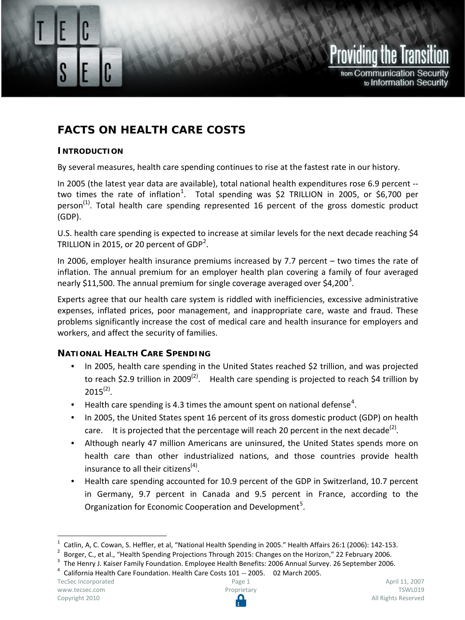

# **FACTS ON HEALTH CARE COSTS**

#### **INTRODUCTION**

Facts on Health Care Costs

By several measures, health care spending continues to rise at the fastest rate in our history.

In 2005 (the latest year data are available), total national health expenditures rose 6.9 percent -- two times the rate of inflation<sup>[1](#page-0-0)</sup>. Total spending was \$2 TRILLION in 2005, or \$6,700 per person<sup>(1)</sup>. Total health care spending represented 16 percent of the gross domestic product (GDP).

U.S. health care spending is expected to increase at similar levels for the next decade reaching \$4 TRILLION in [2](#page-0-1)015, or 20 percent of  $GDP<sup>2</sup>$ .

In 2006, employer health insurance premiums increased by 7.7 percent – two times the rate of inflation. The annual premium for an employer health plan covering a family of four averaged nearly \$11,500. The annual premium for single coverage averaged over \$4,200<sup>[3](#page-0-2)</sup>.

Experts agree that our health care system is riddled with inefficiencies, excessive administrative expenses, inflated prices, poor management, and inappropriate care, waste and fraud. These problems significantly increase the cost of medical care and health insurance for employers and workers, and affect the security of families.

# **NATIONAL HEALTH CARE SPENDING**

- In 2005, health care spending in the United States reached \$2 trillion, and was projected to reach \$2.9 trillion in 2009<sup>(2)</sup>. Health care spending is projected to reach \$4 trillion by  $2015^{(2)}$ .
- Health care spending is [4](#page-0-3).3 times the amount spent on national defense<sup>4</sup>.
- In 2005, the United States spent 16 percent of its gross domestic product (GDP) on health care. It is projected that the percentage will reach 20 percent in the next decade<sup>(2)</sup>.
- Although nearly 47 million Americans are uninsured, the United States spends more on health care than other industrialized nations, and those countries provide health insurance to all their citizens $<sup>(4)</sup>$ .</sup>
- <span id="page-0-4"></span>• Health care spending accounted for 10.9 percent of the GDP in Switzerland, 10.7 percent in Germany, 9.7 percent in Canada and 9.5 percent in France, according to the Organization for Economic Cooperation and Development<sup>[5](#page-0-4)</sup>.

<span id="page-0-1"></span><span id="page-0-0"></span>

<sup>&</sup>lt;sup>1</sup> Catlin, A, C. Cowan, S. Heffler, et al, "National Health Spending in 2005." Health Affairs 26:1 (2006): 142-153.<br><sup>2</sup> Borger, C., et al., "Health Spending Projections Through 2015: Changes on the Horizon," 22 February

<span id="page-0-3"></span><span id="page-0-2"></span>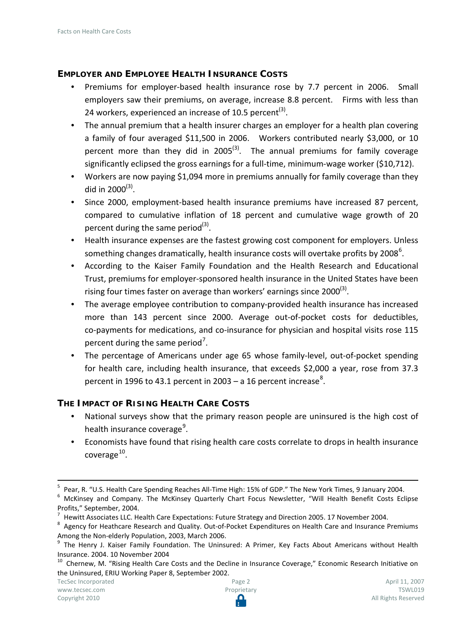### **EMPLOYER AND EMPLOYEE HEALTH INSURANCE COSTS**

- Premiums for employer-based health insurance rose by 7.7 percent in 2006. Small employers saw their premiums, on average, increase 8.8 percent. Firms with less than 24 workers, experienced an increase of 10.5 percent<sup>(3)</sup>.
- The annual premium that a health insurer charges an employer for a health plan covering a family of four averaged \$11,500 in 2006. Workers contributed nearly \$3,000, or 10 percent more than they did in 2005<sup>(3)</sup>. The annual premiums for family coverage significantly eclipsed the gross earnings for a full-time, minimum-wage worker (\$10,712).
- Workers are now paying \$1,094 more in premiums annually for family coverage than they did in  $2000^{(3)}$ .
- Since 2000, employment-based health insurance premiums have increased 87 percent, compared to cumulative inflation of 18 percent and cumulative wage growth of 20 percent during the same period $^{(3)}$ .
- Health insurance expenses are the fastest growing cost component for employers. Unless something changes dramatically, health insurance costs will overtake profits by 2008<sup>[6](#page-1-0)</sup>.
- According to the Kaiser Family Foundation and the Health Research and Educational Trust, premiums for employer-sponsored health insurance in the United States have been rising four times faster on average than workers' earnings since  $2000^{(3)}$ .
- The average employee contribution to company-provided health insurance has increased more than 143 percent since 2000. Average out-of-pocket costs for deductibles, co-payments for medications, and co-insurance for physician and hospital visits rose 115 percent during the same period<sup>[7](#page-1-1)</sup>.
- The percentage of Americans under age 65 whose family-level, out-of-pocket spending for health care, including health insurance, that exceeds \$2,000 a year, rose from 37.3 percent in 1996 to 43.1 percent in 2003 – a 16 percent increase<sup>[8](#page-1-2)</sup>.

#### **THE IMPACT OF RISING HEALTH CARE COSTS**

- National surveys show that the primary reason people are uninsured is the high cost of health insurance coverage<sup>[9](#page-1-3)</sup>.
- Economists have found that rising health care costs correlate to drops in health insurance coverage $^{10}$ .

<sup>&</sup>lt;sup>5</sup> Pear, R. "U.S. Health Care Spending Reaches All-Time High: 15% of GDP." The New York Times, 9 January 2004.<br><sup>6</sup> McKinsey and Company. The McKinsey Quarterly Chart Focus Newsletter, "Will Health Benefit Costs Eclipse

<span id="page-1-0"></span>Profits," September, 2004.<br><sup>7</sup> Hewitt Associates LLC. Health Care Expectations: Future Strategy and Direction 2005. 17 November 2004.

<span id="page-1-2"></span><span id="page-1-1"></span> $8$  Agency for Heathcare Research and Quality. Out-of-Pocket Expenditures on Health Care and Insurance Premiums Among the Non-elderly Population, 2003, March 2006.<br><sup>9</sup> The Henry J. Kaiser Family Foundation. The Uninsured: A Primer, Key Facts About Americans without Health

<span id="page-1-3"></span>

<span id="page-1-4"></span>Insurance. 2004. 10 November 2004<br><sup>10</sup> Chernew, M. "Rising Health Care Costs and the Decline in Insurance Coverage," Economic Research Initiative on the Uninsured, ERIU Working Paper 8, September 2002.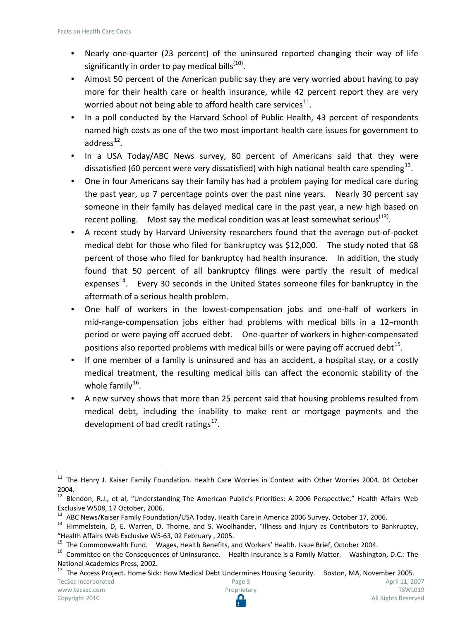- Nearly one-quarter (23 percent) of the uninsured reported changing their way of life significantly in order to pay medical bills $<sup>(10)</sup>$ .</sup>
- Almost 50 percent of the American public say they are very worried about having to pay more for their health care or health insurance, while 42 percent report they are very worried about not being able to afford health care services $^{11}$  $^{11}$  $^{11}$ .
- In a poll conducted by the Harvard School of Public Health, 43 percent of respondents named high costs as one of the two most important health care issues for government to address $^{12}$  $^{12}$  $^{12}$ .
- In a USA Today/ABC News survey, 80 percent of Americans said that they were dissatisfied (60 percent were very dissatisfied) with high national health care spending<sup>13</sup>.
- One in four Americans say their family has had a problem paying for medical care during the past year, up 7 percentage points over the past nine years. Nearly 30 percent say someone in their family has delayed medical care in the past year, a new high based on recent polling. Most say the medical condition was at least somewhat serious<sup>(13)</sup>.
- A recent study by Harvard University researchers found that the average out-of-pocket medical debt for those who filed for bankruptcy was \$12,000. The study noted that 68 percent of those who filed for bankruptcy had health insurance. In addition, the study found that 50 percent of all bankruptcy filings were partly the result of medical expenses $14$ . Every 30 seconds in the United States someone files for bankruptcy in the aftermath of a serious health problem.
- One half of workers in the lowest-compensation jobs and one-half of workers in mid-range-compensation jobs either had problems with medical bills in a 12¬month period or were paying off accrued debt. One-quarter of workers in higher-compensated positions also reported problems with medical bills or were paying off accrued debt  $15$ .
- If one member of a family is uninsured and has an accident, a hospital stay, or a costly medical treatment, the resulting medical bills can affect the economic stability of the whole family $^{16}$ .
- A new survey shows that more than 25 percent said that housing problems resulted from medical debt, including the inability to make rent or mortgage payments and the development of bad credit ratings $^{17}$  $^{17}$  $^{17}$ .

<span id="page-2-0"></span><sup>&</sup>lt;sup>11</sup> The Henry J. Kaiser Family Foundation. Health Care Worries in Context with Other Worries 2004. 04 October 2004.

<span id="page-2-1"></span><sup>&</sup>lt;sup>12</sup> Blendon, R.J., et al, "Understanding The American Public's Priorities: A 2006 Perspective," Health Affairs Web Exclusive W508, 17 October, 2006.<br><sup>13</sup> ABC News/Kaiser Family Foundation/USA Today, Health Care in America 2006 Survey, October 17, 2006.

<span id="page-2-3"></span><span id="page-2-2"></span> $14$  Himmelstein, D, E. Warren, D. Thorne, and S. Woolhander, "Illness and Injury as Contributors to Bankruptcy,

<span id="page-2-5"></span>

<span id="page-2-4"></span><sup>&</sup>quot;Health Affairs Web Exclusive W5-63, 02 February, 2005.<br><sup>15</sup> The Commonwealth Fund. Wages, Health Benefits, and Workers' Health. Issue Brief, October 2004.<br><sup>16</sup> Committee on the Consequences of Uninsurance. Health Insuranc National Academies Press, 2002.

<span id="page-2-6"></span>TecSec Incorporated [www.tecsec.com](http://www.tecsec.com/) Page 3 <sup>17</sup> The Access Project. Home Sick: How Medical Debt Undermines Housing Security. Boston, MA, November 2005.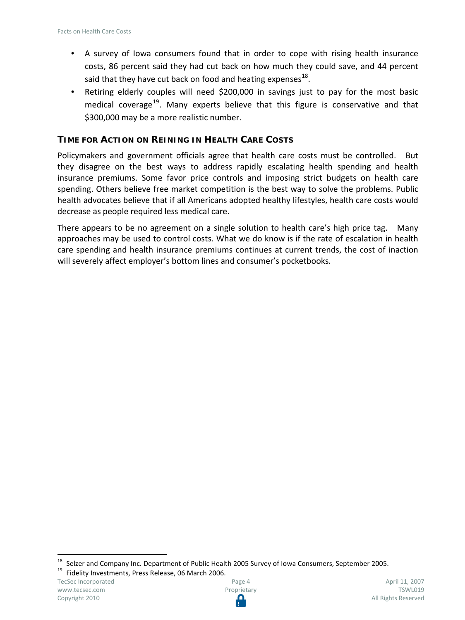- A survey of Iowa consumers found that in order to cope with rising health insurance costs, 86 percent said they had cut back on how much they could save, and 44 percent said that they have cut back on food and heating expenses $^{18}$ .
- Retiring elderly couples will need \$200,000 in savings just to pay for the most basic medical coverage<sup>19</sup>. Many experts believe that this figure is conservative and that \$300,000 may be a more realistic number.

#### **TIME FOR ACTION ON REINING IN HEALTH CARE COSTS**

Policymakers and government officials agree that health care costs must be controlled. But they disagree on the best ways to address rapidly escalating health spending and health insurance premiums. Some favor price controls and imposing strict budgets on health care spending. Others believe free market competition is the best way to solve the problems. Public health advocates believe that if all Americans adopted healthy lifestyles, health care costs would decrease as people required less medical care.

There appears to be no agreement on a single solution to health care's high price tag. Many approaches may be used to control costs. What we do know is if the rate of escalation in health care spending and health insurance premiums continues at current trends, the cost of inaction will severely affect employer's bottom lines and consumer's pocketbooks.

<span id="page-3-1"></span>

TecSec Incorporated [www.tecsec.com](http://www.tecsec.com/) Copyright 2010



<span id="page-3-0"></span><sup>&</sup>lt;sup>18</sup> Selzer and Company Inc. Department of Public Health 2005 Survey of Iowa Consumers, September 2005.<br><sup>19</sup> Fidelity Investments, Press Release, 06 March 2006.